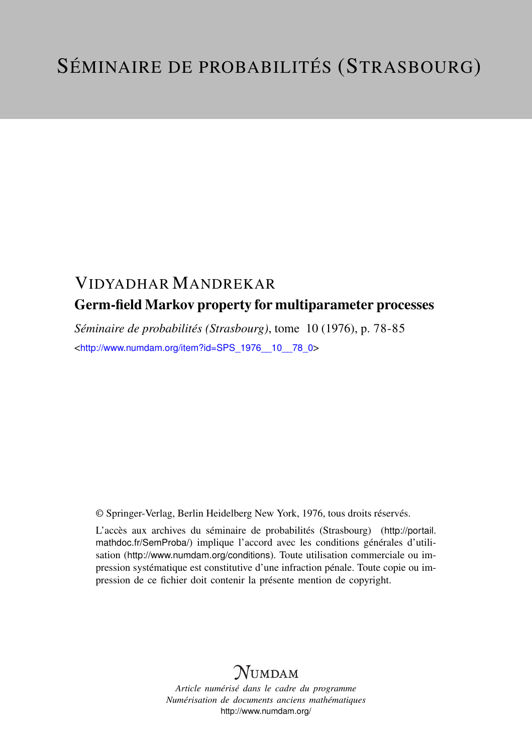## VIDYADHAR MANDREKAR Germ-field Markov property for multiparameter processes

*Séminaire de probabilités (Strasbourg)*, tome 10 (1976), p. 78-85 <[http://www.numdam.org/item?id=SPS\\_1976\\_\\_10\\_\\_78\\_0](http://www.numdam.org/item?id=SPS_1976__10__78_0)>

© Springer-Verlag, Berlin Heidelberg New York, 1976, tous droits réservés.

L'accès aux archives du séminaire de probabilités (Strasbourg) ([http://portail.](http://portail.mathdoc.fr/SemProba/) [mathdoc.fr/SemProba/](http://portail.mathdoc.fr/SemProba/)) implique l'accord avec les conditions générales d'utilisation (<http://www.numdam.org/conditions>). Toute utilisation commerciale ou impression systématique est constitutive d'une infraction pénale. Toute copie ou impression de ce fichier doit contenir la présente mention de copyright.

## **NUMDAM**

*Article numérisé dans le cadre du programme Numérisation de documents anciens mathématiques* <http://www.numdam.org/>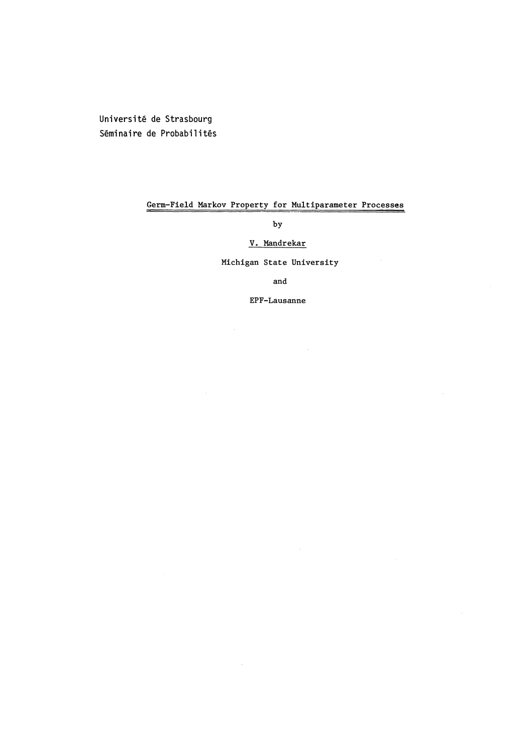Université de Strasbourg Seminaire de Probabilités

### Germ-Field Markov Property for Multiparameter Processes

by

### V. Mandrekar

### Michigan State University

and

EPF-Lausanne

 $\overline{\phantom{a}}$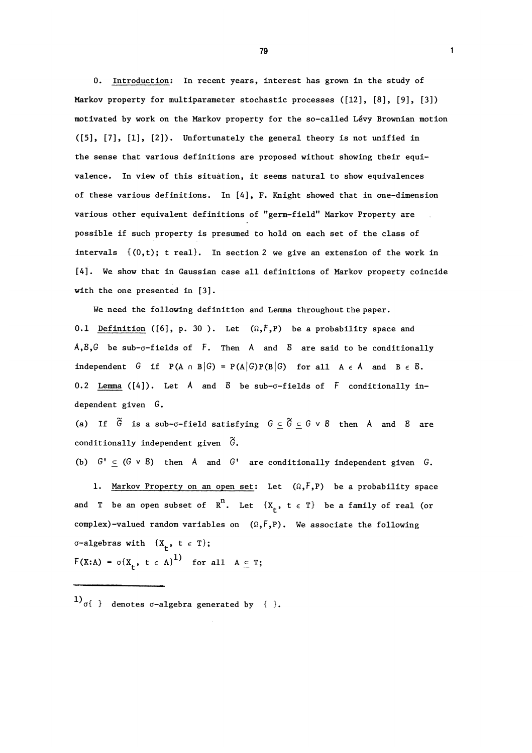0. Introduction: In recent years, interest has grown in the study of Markov property for multiparameter stochastic processes ([12], [8], [9], [3]) motivated by work on the Markov property for the so-called Levy Brownian motion ([5], [7], [1], [2]). Unfortunately the general theory is not unified in the sense that various definitions are proposed without showing their equivalence. In view of this situation, it seems natural to show equivalences of these various definitions. In [4], F. Knight showed that in one-dimension various other equivalent definitions of "germ-field" Markov Property are possible if such property is presumed to hold on each set of the class of intervals  $(0,t)$ ; t real). In section 2 we give an extension of the work in [4]. We show that in Gaussian case all definitions of Markov property coincide with the one presented in [3].

We need the following definition and Lemma throughout the paper. 0.1 Definition ([6], p. 30). Let  $(\Omega, \mathbf{F}, P)$  be a probability space and  $A, B, G$  be sub- $\sigma$ -fields of F. Then A and B are said to be conditionally independent G if  $P(A \cap B|G) = P(A|G)P(B|G)$  for all  $A \in A$  and  $B \in B$ . 0.2 Lemma ( $[4]$ ). Let A and B be sub- $\sigma$ -fields of F conditionally independent given G.

(a) If  $\widetilde{G}$  is a sub- $\sigma$ -field satisfying  $G \subseteq \widetilde{G} \subseteq G \vee B$  then A and B are conditionally independent given  $\tilde{G}$ .

(b)  $G' \subseteq (G \vee B)$  then A and  $G'$  are conditionally independent given G.

1. Markov Property on an open set: Let  $(\Omega, \mathcal{F}, P)$  be a probability space and T be an open subset of  $R^n$ . Let  $\{X_r, t \in T\}$  be a family of real (or complex)-valued random variables on  $(\Omega, F, P)$ . We associate the following  $\sigma$ -algebras with  $\{X_{\mu}, t \in T\};$  $F(X:A) = \sigma\{X_t, t \in A\}^{1}$  for all  $A \subseteq T$ ;

 $1)$ <sub>0</sub>{ } denotes  $\sigma$ -algebra generated by { }.

79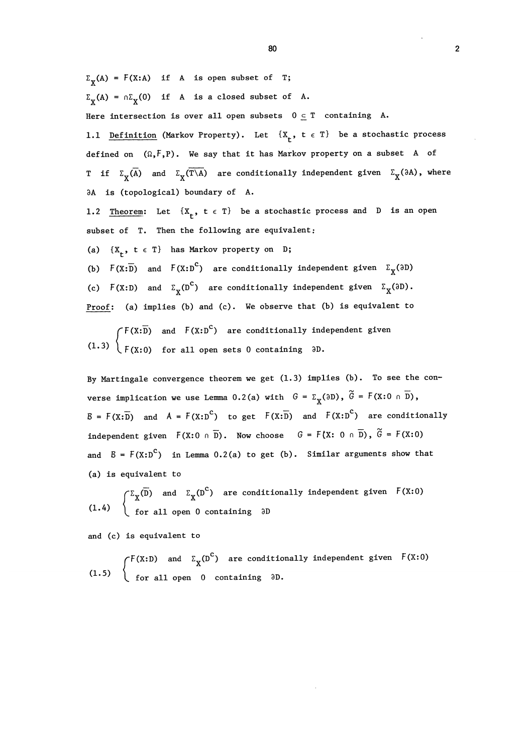$\Sigma_{\mathbf{v}}(A) = F(X:A)$  if A is open subset of T;  $\Sigma_{\mathbf{v}}(A) = \bigcap \Sigma_{\mathbf{v}}(0)$  if A is a closed subset of A. Here intersection is over all open subsets  $0 \subseteq T$  containing A. 1.1 Definition (Markov Property). Let  $\{X_t, t \in T\}$  be a stochastic process defined on  $(\Omega, \mathsf{F}, P)$ . We say that it has Markov property on a subset A of T if  $\Sigma_{\mathbf{v}}(\overline{A})$  and  $\Sigma_{\mathbf{v}}(\overline{T \setminus A})$  are conditionally independent given  $\Sigma_{\mathbf{y}}(\partial A)$ , where 3A is (topological) boundary of A.

1.2 Theorem: Let  $\{X_t, t \in T\}$  be a stochastic process and D is an open subset of T. Then the following are equivalent;

(a)  $\{X_{+}, t \in T\}$  has Markov property on D;

(b)  $F(X:\overline{D})$  and  $F(X:D^C)$  are conditionally independent given  $\Sigma_X(3D)$ (c)  $\tilde{F}(X : D)$  and  $\Sigma_{\mathbf{Y}}(D^{\mathbf{C}})$  are conditionally independent given  $\Sigma_{\mathbf{X}}(\partial D)$ . Proof: (a) implies (b) and (c). We observe that (b) is equivalent to

and  $F(X: D^{\sim})$  are conditionally independent given  $(1.3)$   $\left\{F(X:0)$  for all open sets 0 containing  $\partial D$ .

By Martingale convergence theorem we get (1.3) implies (b). To see the converse implication we use Lemma 0.2(a) with  $G = \Sigma_X(3D)$ ,  $\widetilde{G} = F(X:0 \cap \overline{D})$ ,  $B = F(X:\overline{D})$  and  $A = F(X:D^C)$  to get  $F(X:\overline{D})$  and  $F(X:D^C)$  are conditionally independent given  $F(X:0 \cap \overline{D})$ . Now choose  $G = F(X:0 \cap \overline{D})$ ,  $\widetilde{G} = F(X:0)$ and  $B = F(X:D^C)$  in Lemma 0.2(a) to get (b). Similar arguments show that (a) is equivalent to

 $\bigcap \Sigma_{\bf X}^{\rm (D)}$  and  $\Sigma_{\bf X}^{\rm (D^*)}$  are conditionally independent given  $(1.4)$   $\left\{ \text{ for all open } 0 \text{ containing } 3D \right\}$ 

and (c) is equivalent to

and  $\Sigma_{_{\bf V}}({\Bbb D}^\sim)$  are conditionally independent given  $(1.5)$   $\left\{$  for all open 0 containing  $\partial D$ .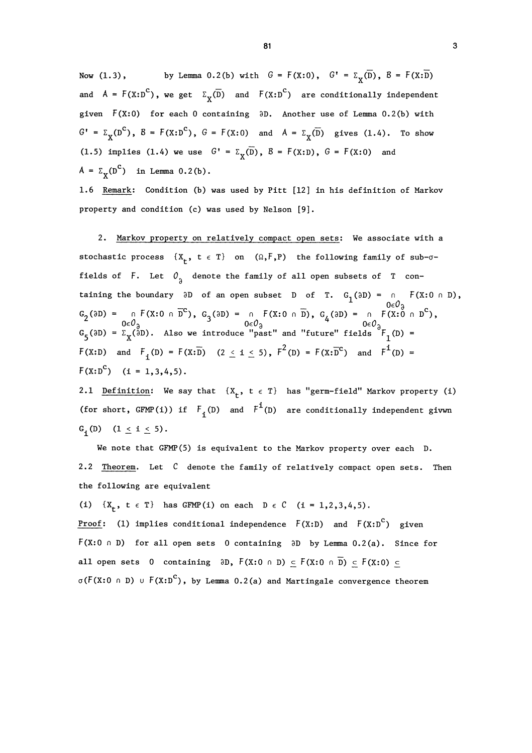Now (1.3), by Lemma 0.2(b) with  $G = F(X:0)$ ,  $G' = \Sigma_v(\overline{D})$ ,  $B = F(X:\overline{D})$ and  $A = F(X:D^C)$ , we get  $\Sigma_X(\overline{D})$  and  $F(X:D^C)$  are conditionally independent given  $F(X:0)$  for each 0 containing  $\partial D$ . Another use of Lemma 0.2(b) with  $G' = \Sigma_v(D^c)$ ,  $B = F(X:D^c)$ ,  $G = F(X:0)$  and  $A = \Sigma_v(\overline{D})$  gives  $(1.4)$ . To show (1.5) implies (1.4) we use  $G' = \Sigma_{\mathbf{y}}(\overline{D})$ ,  $B = F(X:D)$ ,  $G = F(X:0)$  and  $A = \Sigma_{\mathbf{v}}(\mathbf{D}^{\mathbf{C}})$  in Lemma 0.2(b).

1.6 Remark: Condition (b) was used by Pitt [12] in his definition of Markov property and condition (c) was used by Nelson [9].

2. Markov property on relatively compact open sets: We associate with a stochastic process  $\{X_t, t \in T\}$  on  $(\Omega, \mathbb{F}, P)$  the following family of sub- $\sigma$ fields of F. Let  $0<sub>2</sub>$  denote the family of all open subsets of T containing the boundary  $\partial D$  of an open subset D of T.  $G_1(\partial D) = 0$   $\cap$   $F(X : 0 \cap D)$ ,  $G_2(\partial D) = \n\begin{array}{c}\nG_1(\partial D) = \n\end{array}$   $G_1(\partial D) = \n\begin{array}{c}\nG_2(\partial D) = \n\end{array}$   $G_3(\partial D) = \n\begin{array}{c}\nG_1(\partial D) = \n\end{array}$   $G_4(\partial D) = \n\begin{array}{c}\nG_2(\partial D) = \n\end{array}$   $G_5(\partial D) = \n\begin{array}{c}\n\sum_{\chi}(\partial D) \cdot \text{Also we introduce "past" and "future" fields \end{array}$   $F_1(D) = \n\begin{array}{c}\n\sum_{\chi}(\partial$  $F(X:D)$  and  $F_1(D) = F(X:\overline{D})$   $(2 \leq i \leq 5)$ ,  $F^2(D) = F(X:\overline{D}^C)$  and  $F^1(D) =$  $F(X:D^C)$  (i = 1,3,4,5).

2.1 Definition: We say that  $\{X_t, t \in T\}$  has "germ-field" Markov property (i) (for short, GFMP(i)) if  $F_i(D)$  and  $F^i(D)$  are conditionally independent givwn G<sub>i</sub>(D)  $(1 \le i \le 5)$ .

We note that GFMP(5) is equivalent to the Markov property over each D. 2.2 Theorem. Let C denote the family of relatively compact open sets. Then the following are equivalent

(i)  $\{X_{r}, t \in T\}$  has GFMP(i) on each  $D \in C$  (i = 1,2,3,4,5). <u>Proof</u>: (1) implies conditional independence  $F(X:D)$  and  $F(X:D^C)$  given  $F(X:0 \cap D)$  for all open sets 0 containing  $\partial D$  by Lemma 0.2(a). Since for all open sets 0 containing  $\partial D$ ,  $F(X:0 \cap D) \subseteq F(X:0 \cap \overline{D}) \subseteq F(X:0) \subseteq$  $\sigma(F(X:0 \cap D) \cup F(X:D^C)$ , by Lemma 0.2(a) and Martingale convergence theorem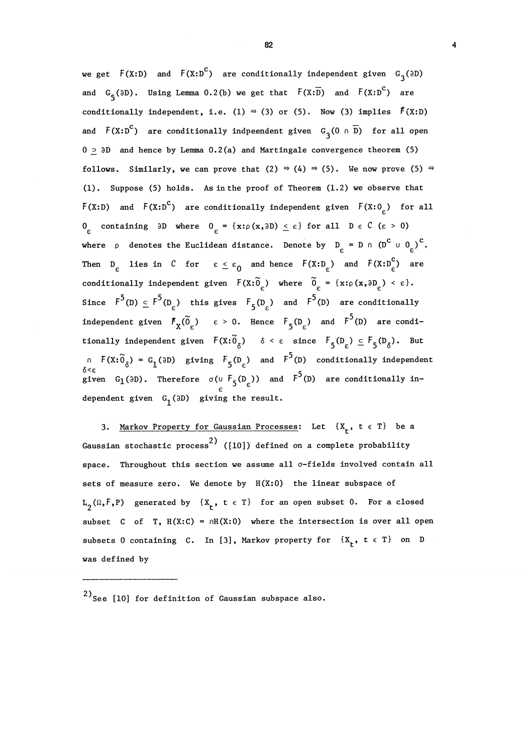we get  $F(X: D)$  and  $F(X: D^C)$  are conditionally independent given  $G_3(\partial D)$ and  $G_{\epsilon}(\partial D)$ . Using Lemma 0.2(b) we get that  $F(X;\overline{D})$  and  $F(X;D^C)$  are conditionally independent, i.e. (1)  $\Rightarrow$  (3) or (5). Now (3) implies  $\vec{F}(X:D)$ and  $F(X:D^C)$  are conditionally indpeendent given  $G_3(0 \cap \overline{D})$  for all open  $0 > \partial D$  and hence by Lemma 0.2(a) and Martingale convergence theorem (5) follows. Similarly, we can prove that (2)  $\Rightarrow$  (4)  $\Rightarrow$  (5). We now prove (5)  $\Rightarrow$ (1). Suppose (5) holds. As in the proof of Theorem (1.2) we observe that  $F(X:D)$  and  $F(X:D^C)$  are conditionally independent given  $F(X:O_{\rho})$  for all 0 containing  $\partial D$  where  $0 \in \{x : \rho(x, \partial D) \leq \varepsilon\}$  for all  $D \in C$  ( $\varepsilon > 0$ ) where  $\rho$  denotes the Euclidean distance. Denote by  $D_{\rho} = D \cap (D^C \cup O_{\rho})^C$ . Then  $D_{\varepsilon}$  lies in C for  $\varepsilon \leq \varepsilon_0$  and hence  $F(X:D_{\varepsilon}^{\circ})$  and  $F(X:D_{\varepsilon}^{\circ})$  are conditionally independent given  $F(X;\tilde{O}_{\varepsilon})$  where  $\tilde{O}_{\varepsilon} = \{x:\rho(x,\partial D_{\varepsilon}) < \varepsilon\}.$ Since  $F^5(D) \subseteq F^5(D_c)$  this gives  $F_5(D_c)$  and  $F^5(D)$  are conditionally independent given  $\vec{F}_X(\tilde{0}_{\epsilon})$   $\epsilon > 0$ . Hence  $F_5(D_{\epsilon})$  and  $F^5(D)$  are conditionally independent given  $F(x:\widetilde{O}_\delta)$   $\delta < \varepsilon$  since  $F_5(D_\varepsilon) \subseteq F_5(D_\delta)$ . But  $n F(X:\widetilde{O}_{\delta}) = G_1(\partial D)$  giving  $F_5(D_{\epsilon})$  and  $F^5(D)$  conditionally independent given G<sub>1</sub>(3D). Therefore  $\sigma(\cup f_5(D_\epsilon))$  and  $F^5(D)$  are conditionally independent given  $G_1(\mathfrak{d}D)$  giving the result.

3. Markov Property for Gaussian Processes: Let  $\{X_t, t \in T\}$  be a Gaussian stochastic process<sup>2)</sup> ([10]) defined on a complete probability space. Throughout this section we assume all  $\sigma$ -fields involved contain all sets of measure zero. We denote by  $H(X:0)$  the linear subspace of  $L_2(\Omega, F, P)$  generated by  $\{X_t, t \in T\}$  for an open subset 0. For a closed subset C of T,  $H(X:C) = nH(X:0)$  where the intersection is over all open subsets 0 containing C. In [3], Markov property for  $\{X_t, t \in T\}$  on D was def ined by

 $^{2)}$ See [10] for definition of Gaussian subspace also.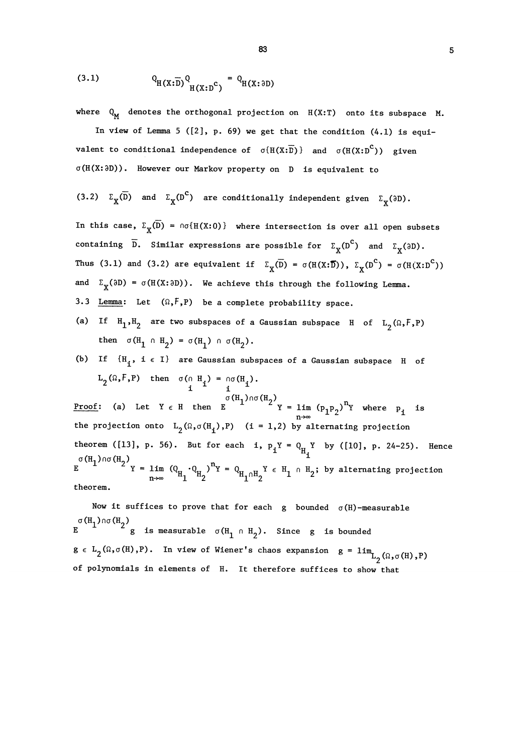$$
(3.1) \tQ_{H(X;\overline{D})} Q_{H(X;D^c)} = Q_{H(X;D^c)}
$$

where  $Q_M$  denotes the orthogonal projection on  $H(X:T)$  onto its subspace M.

In view of Lemma 5 ( $[2]$ , p. 69) we get that the condition  $(4.1)$  is equivalent to conditional independence of  $\sigma(H(X:\overline{D}))$  and  $\sigma(H(X:\overline{D}^C))$  given a(H(X:3D)). However our Markov property on D is equivalent to

(3.2) 
$$
\Sigma_X(\overline{D})
$$
 and  $\Sigma_X(D^C)$  are conditionally independent given  $\Sigma_X(3D)$ .

In this case,  $\Sigma_X(\overline{D}) = \text{no(H(X:0))}$  where intersection is over all open subsets containing  $\overline{D}$ . Similar expressions are possible for  $\Sigma_{\mathbf{X}}(D^{\mathbf{C}})$  and  $\Sigma_{\mathbf{Y}}(\partial D)$ . Thus (3.1) and (3.2) are equivalent if  $\Sigma_{\chi}(\overline{D}) = \sigma(H(X;\overline{D})), \Sigma_{\chi}(D^{C}) = \sigma(H(X:D^{C}))$ and  $\Sigma_X(\partial D) = \sigma(H(X: \partial D))$ . We achieve this through the following Lemma. 3.3 Lemma: Let  $(\Omega, \mathbf{F}, P)$  be a complete probability space.

(a) If  $H_1,H_2$  are two subspaces of a Gaussian subspace H of  $L_2(\Omega, F, P)$ then  $\sigma(H_1 \cap H_2) = \sigma(H_1) \cap \sigma(H_2)$ .

# (b) If  $\{H_i, i \in I\}$  are Gaussian subspaces of a Gaussian subspace H of  $L_2(\Omega, F, P)$  then  $\sigma(\Omega, H_i) = \sigma(H_i)$ .

Proof: (a) Let  $Y \in H$  then  $E$   $Y = \lim_{n \to \infty} (p_1 p_2)^n Y$  where  $p_1$  is the projection onto  $L_2(\Omega, \sigma(H_1), P)$  (i = 1,2) by alternating projection theorem ([13], p. 56). But for each i,  $p_1Y = Q_{H_1}Y$  by ([10], p. 24-25). Hence  $E = \frac{1}{2} \times \frac{1}{2} \times \frac{1}{2} = \lim_{n \to \infty} (Q_{H_1} \cdot Q_{H_2})^n = Q_{H_1 \cap H_2} \times \frac{1}{2} = H_1 \cap H_2$ ; by alternating projection theorem.

Now it suffices to prove that for each g bounded  $\sigma(H)$ -measurable  $\sigma(H_1)$  no  $(H_2)$ <br>E is measurable  $\sigma(H_1 \cap H_2)$ . Since g is bounded  $g \in L_{2}(\Omega, \sigma(H), P)$ . In view of Wiener's chaos expansion  $g = 0$ of polynomials in elements of H. It therefore suffices to show that $\lim_{L_2(\Omega,\sigma(H),P)}$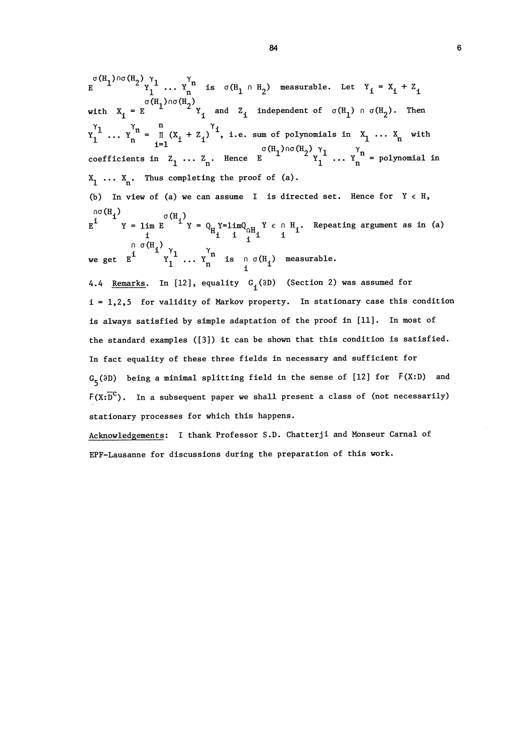$\ldots$  Y<sub>n</sub><sup>n</sup> is  $\sigma(H_1 \cap H_2)$  measurable. Let Y<sub>i</sub> = X<sub>i</sub> + Z<sub>i</sub> with  $X_i = E$   $Y_i$  and  $Z_i$  independent of  $\sigma(H_1) \cap \sigma(H_2)$ . Then  $Y_1^{\gamma_1}$  ...  $Y_n^{\gamma_n} = \prod_{i=1}^n (X_i + Z_i)^{\gamma_i}$ , i.e. sum of polynomials in  $X_1$  ...  $X_n$  with coefficients in  $Z_1$  ...  $Z_n$ . Hence  $E \n\begin{array}{ccc}\n\sigma(H_1) \wedge \sigma(H_2) & \gamma_1 \\
\gamma_1 & \dots & \gamma_n\n\end{array}$  = polynomial in  $X_1 \ldots X_n$ . Thus completing the proof of (a). (b) In view of (a) we can assume I is directed set. Hence for  $Y \in H$ ,  $E$   $\overline{E}$   $\overline{E}$   $\overline{E}$   $\overline{E}$   $\overline{E}$   $\overline{E}$   $\overline{E}$   $\overline{E}$   $\overline{E}$   $\overline{E}$   $\overline{E}$   $\overline{E}$   $\overline{E}$   $\overline{E}$   $\overline{E}$   $\overline{E}$   $\overline{E}$   $\overline{E}$   $\overline{E}$   $\overline{E}$   $\overline{E}$   $\overline{E}$   $\overline{E}$   $\overline{E}$  we get  $E^i$   $Y_1^{'1}$  ...  $Y_n^{'n}$  is n  $\sigma(H_i)$  measurable. 4.4 Remarks. In [12], equality  $G_i(\partial D)$  (Section 2) was assumed for i = 1,2,5 for validity of Markov property. In stationary case this condition is always satisfied by simple adaptation of the proof in [11]. In most of the standard examples ([3]) it can be shown that this condition is satisfied. In fact equality of these three fields in necessary and sufficient for  $G_5$ ( $\partial D$ ) being a minimal splitting field in the sense of [12] for  $F(X:D)$  and

 $F(X:\overline{D}^C)$ . In a subsequent paper we shall present a class of (not necessarily) stationary processes for which this happens.

Acknowledgements: I thank Professor S.D. Chatterji and Monseur Carnal of EPF-Lausanne for discussions during the preparation of this work.